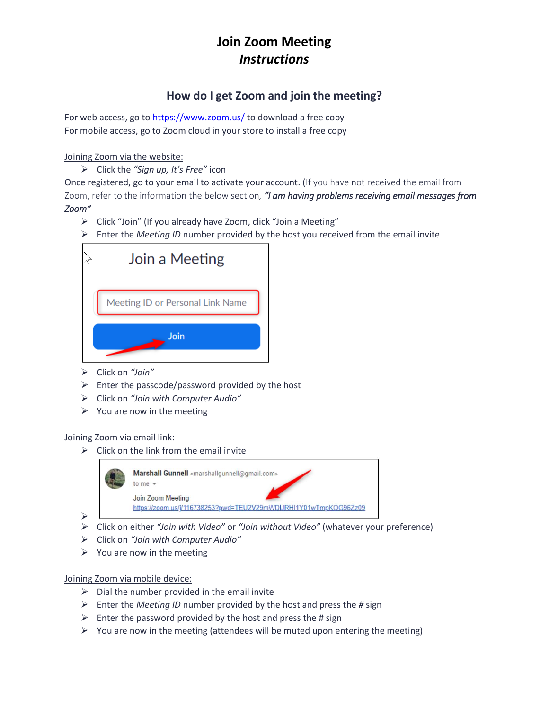# **Join Zoom Meeting** *Instructions*

### **How do I get Zoom and join the meeting?**

For web access, go to<https://www.zoom.us/> to download a free copy For mobile access, go to Zoom cloud in your store to install a free copy

### Joining Zoom via the website:

➢ Click the *"Sign up, It's Free"* icon

Once registered, go to your email to activate your account. (If you have not received the email from Zoom, refer to the information the below section*, "I am having problems receiving email messages from Zoom"*

- ➢ Click "Join" (If you already have Zoom, click "Join a Meeting"
- ➢ Enter the *Meeting ID* number provided by the host you received from the email invite



- ➢ Click on *"Join"*
- $\triangleright$  Enter the passcode/password provided by the host
- ➢ Click on *"Join with Computer Audio"*
- $\triangleright$  You are now in the meeting

### Joining Zoom via email link:

➢

 $\triangleright$  Click on the link from the email invite



- ➢ Click on either *"Join with Video"* or *"Join without Video"* (whatever your preference)
- ➢ Click on *"Join with Computer Audio"*
- $\triangleright$  You are now in the meeting

### Joining Zoom via mobile device:

- $\triangleright$  Dial the number provided in the email invite
- ➢ Enter the *Meeting ID* number provided by the host and press the *#* sign
- $\triangleright$  Enter the password provided by the host and press the # sign
- $\triangleright$  You are now in the meeting (attendees will be muted upon entering the meeting)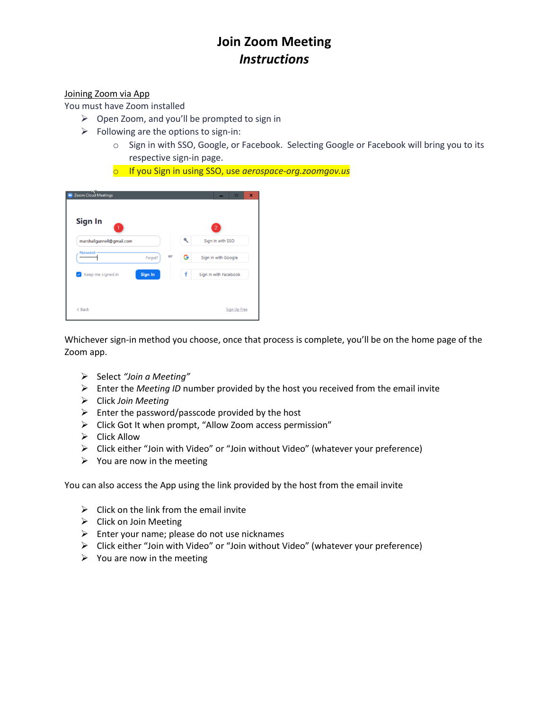# **Join Zoom Meeting** *Instructions*

#### Joining Zoom via App

You must have Zoom installed

- ➢ Open Zoom, and you'll be prompted to sign in
- $\triangleright$  Following are the options to sign-in:
	- o Sign in with SSO, Google, or Facebook. Selecting Google or Facebook will bring you to its respective sign-in page.
	- o If you Sign in using SSO, use *aerospace-org.zoomgov.us*

| Sign In                   |                |    |   | $\overline{2}$        |
|---------------------------|----------------|----|---|-----------------------|
| marshallgunnell@gmail.com |                |    | ۹ | Sign In with SSO      |
| Password<br>************  | Forgot?        | or | G | Sign In with Google   |
| Keep me signed in         | <b>Sign In</b> |    | f | Sign In with Facebook |

Whichever sign-in method you choose, once that process is complete, you'll be on the home page of the Zoom app.

- ➢ Select *"Join a Meeting"*
- ➢ Enter the *Meeting ID* number provided by the host you received from the email invite
- ➢ Click *Join Meeting*
- $\triangleright$  Enter the password/passcode provided by the host
- ➢ Click Got It when prompt, "Allow Zoom access permission"
- $\triangleright$  Click Allow
- ➢ Click either "Join with Video" or "Join without Video" (whatever your preference)
- $\triangleright$  You are now in the meeting

You can also access the App using the link provided by the host from the email invite

- $\triangleright$  Click on the link from the email invite
- $\triangleright$  Click on Join Meeting
- $\triangleright$  Enter your name; please do not use nicknames
- ➢ Click either "Join with Video" or "Join without Video" (whatever your preference)
- $\triangleright$  You are now in the meeting